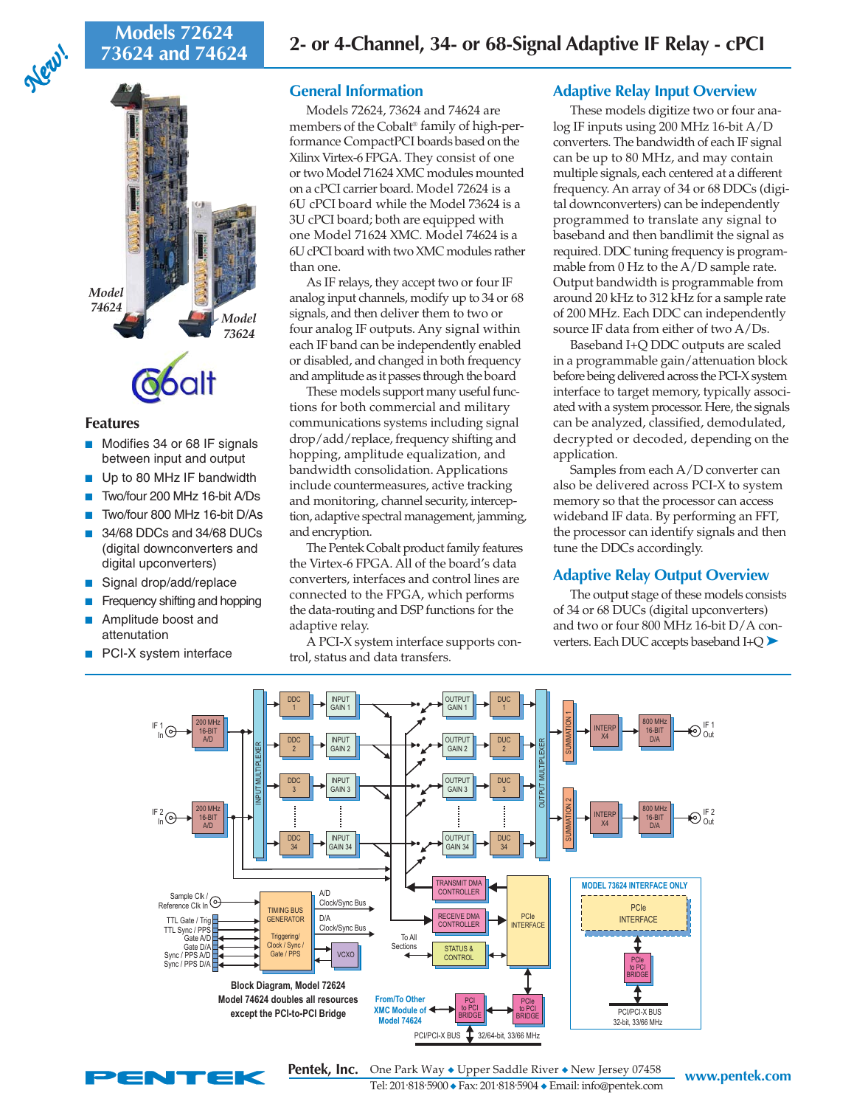# **73624 and 74624**

*New! New!*



# **Features**

- Modifies 34 or 68 IF signals between input and output
- Up to 80 MHz IF bandwidth
- Two/four 200 MHz 16-bit A/Ds
- Two/four 800 MHz 16-bit D/As
- 34/68 DDCs and 34/68 DUCs (digital downconverters and digital upconverters)
- Signal drop/add/replace
- Frequency shifting and hopping
- Amplitude boost and attenutation
- PCI-X system interface

# **General Information**

Models 72624, 73624 and 74624 are members of the Cobalt® family of high-performance CompactPCI boards based on the Xilinx Virtex-6 FPGA. They consist of one or two Model 71624 XMC modules mounted on a cPCI carrier board. Model 72624 is a 6U cPCI board while the Model 73624 is a 3U cPCI board; both are equipped with one Model 71624 XMC. Model 74624 is a 6U cPCI board with two XMC modules rather than one.

As IF relays, they accept two or four IF analog input channels, modify up to 34 or 68 signals, and then deliver them to two or four analog IF outputs. Any signal within each IF band can be independently enabled or disabled, and changed in both frequency and amplitude as it passes through the board

These models support many useful functions for both commercial and military communications systems including signal drop/add/replace, frequency shifting and hopping, amplitude equalization, and bandwidth consolidation. Applications include countermeasures, active tracking and monitoring, channel security, interception, adaptive spectral management, jamming, and encryption.

The Pentek Cobalt product family features the Virtex-6 FPGA. All of the board's data converters, interfaces and control lines are connected to the FPGA, which performs the data-routing and DSP functions for the adaptive relay.

A PCI-X system interface supports control, status and data transfers.

# **Adaptive Relay Input Overview**

These models digitize two or four analog IF inputs using 200 MHz 16-bit A/D converters. The bandwidth of each IF signal can be up to 80 MHz, and may contain multiple signals, each centered at a different frequency. An array of 34 or 68 DDCs (digital downconverters) can be independently programmed to translate any signal to baseband and then bandlimit the signal as required. DDC tuning frequency is programmable from 0 Hz to the A/D sample rate. Output bandwidth is programmable from around 20 kHz to 312 kHz for a sample rate of 200 MHz. Each DDC can independently source IF data from either of two A/Ds.

Baseband I+Q DDC outputs are scaled in a programmable gain/attenuation block before being delivered across the PCI-X system interface to target memory, typically associated with a system processor. Here, the signals can be analyzed, classified, demodulated, decrypted or decoded, depending on the application.

Samples from each A/D converter can also be delivered across PCI-X to system memory so that the processor can access wideband IF data. By performing an FFT, the processor can identify signals and then tune the DDCs accordingly.

# **Adaptive Relay Output Overview**

The output stage of these models consists of 34 or 68 DUCs (digital upconverters) and two or four 800 MHz 16-bit D/A converters. Each DUC accepts baseband I+Q ➤





**WAY ◆ Upper Saddle River ◆ New Jersey 07458 WWW.pentek.com** Tel: 201. 818. 5900 ◆ Fax: 201. 818. 5904 ◆ Email: info@pentek.com **Pentek, Inc.**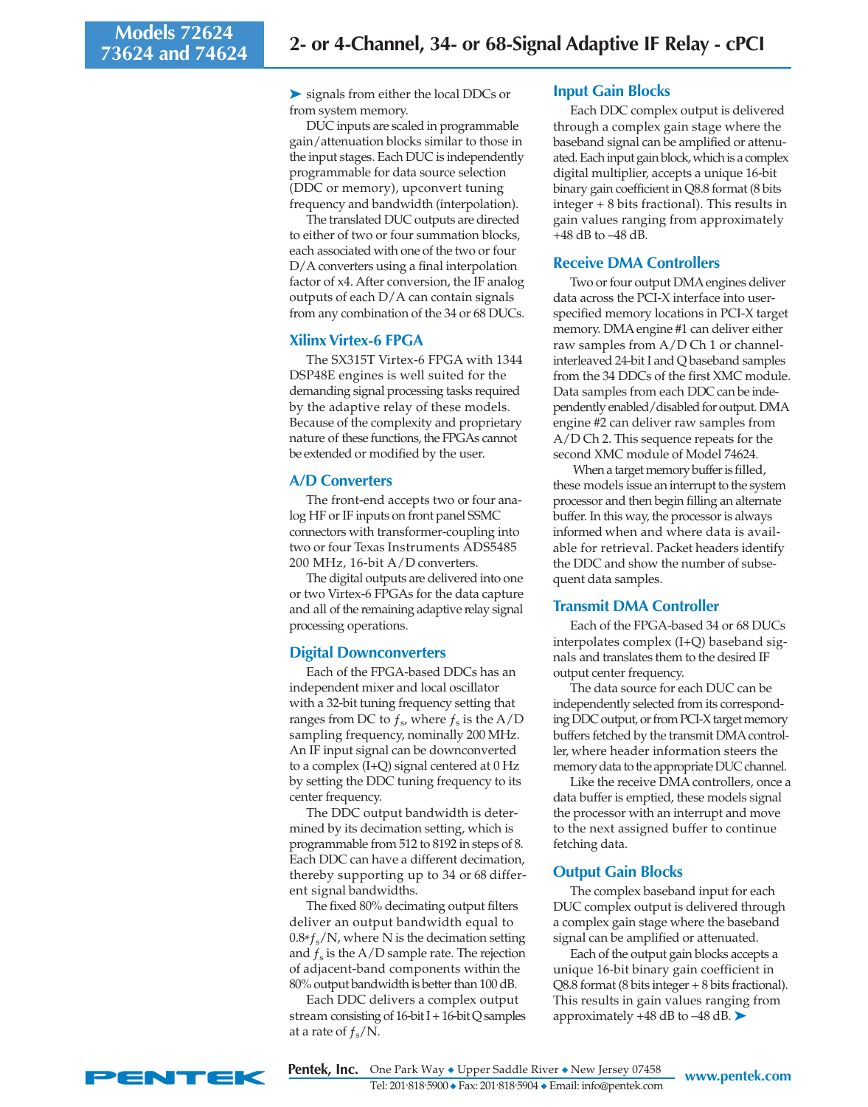➤ signals from either the local DDCs or from system memory.

DUC inputs are scaled in programmable gain/attenuation blocks similar to those in the input stages. Each DUC is independently programmable for data source selection (DDC or memory), upconvert tuning frequency and bandwidth (interpolation).

The translated DUC outputs are directed to either of two or four summation blocks, each associated with one of the two or four D/A converters using a final interpolation factor of x4. After conversion, the IF analog outputs of each D/A can contain signals from any combination of the 34 or 68 DUCs.

# **Xilinx Virtex-6 FPGA**

The SX315T Virtex-6 FPGA with 1344 DSP48E engines is well suited for the demanding signal processing tasks required by the adaptive relay of these models. Because of the complexity and proprietary nature of these functions, the FPGAs cannot be extended or modified by the user.

# **A/D Converters**

The front-end accepts two or four analog HF or IF inputs on front panel SSMC connectors with transformer-coupling into two or four Texas Instruments ADS5485 200 MHz, 16-bit A/D converters.

The digital outputs are delivered into one or two Virtex-6 FPGAs for the data capture and all of the remaining adaptive relay signal processing operations.

## **Digital Downconverters**

Each of the FPGA-based DDCs has an independent mixer and local oscillator with a 32-bit tuning frequency setting that ranges from DC to  $f_s$ , where  $f_s$  is the A/D sampling frequency, nominally 200 MHz. An IF input signal can be downconverted to a complex (I+Q) signal centered at 0 Hz by setting the DDC tuning frequency to its center frequency.

The DDC output bandwidth is determined by its decimation setting, which is programmable from 512 to 8192 in steps of 8. Each DDC can have a different decimation, thereby supporting up to 34 or 68 different signal bandwidths.

The fixed 80% decimating output filters deliver an output bandwidth equal to  $0.8*f_s/N$ , where N is the decimation setting and  $f_s$  is the A/D sample rate. The rejection of adjacent-band components within the 80% output bandwidth is better than 100 dB.

Each DDC delivers a complex output stream consisting of 16-bit I + 16-bit Q samples at a rate of  $f_s/N$ .

### **Input Gain Blocks**

Each DDC complex output is delivered through a complex gain stage where the baseband signal can be amplified or attenuated. Each input gain block, which is a complex digital multiplier, accepts a unique 16-bit binary gain coefficient in Q8.8 format (8 bits integer + 8 bits fractional). This results in gain values ranging from approximately +48 dB to –48 dB.

# **Receive DMA Controllers**

Two or four output DMA engines deliver data across the PCI-X interface into userspecified memory locations in PCI-X target memory. DMA engine #1 can deliver either raw samples from A/D Ch 1 or channelinterleaved 24-bit I and Q baseband samples from the 34 DDCs of the first XMC module. Data samples from each DDC can be independently enabled/disabled for output. DMA engine #2 can deliver raw samples from A/D Ch 2. This sequence repeats for the second XMC module of Model 74624.

 When a target memory buffer is filled, these models issue an interrupt to the system processor and then begin filling an alternate buffer. In this way, the processor is always informed when and where data is available for retrieval. Packet headers identify the DDC and show the number of subsequent data samples.

#### **Transmit DMA Controller**

Each of the FPGA-based 34 or 68 DUCs interpolates complex (I+Q) baseband signals and translates them to the desired IF output center frequency.

The data source for each DUC can be independently selected from its corresponding DDC output, or from PCI-X target memory buffers fetched by the transmit DMA controller, where header information steers the memory data to the appropriate DUC channel.

Like the receive DMA controllers, once a data buffer is emptied, these models signal the processor with an interrupt and move to the next assigned buffer to continue fetching data.

## **Output Gain Blocks**

The complex baseband input for each DUC complex output is delivered through a complex gain stage where the baseband signal can be amplified or attenuated.

Each of the output gain blocks accepts a unique 16-bit binary gain coefficient in Q8.8 format (8 bits integer + 8 bits fractional). This results in gain values ranging from approximately +48 dB to –48 dB. ➤

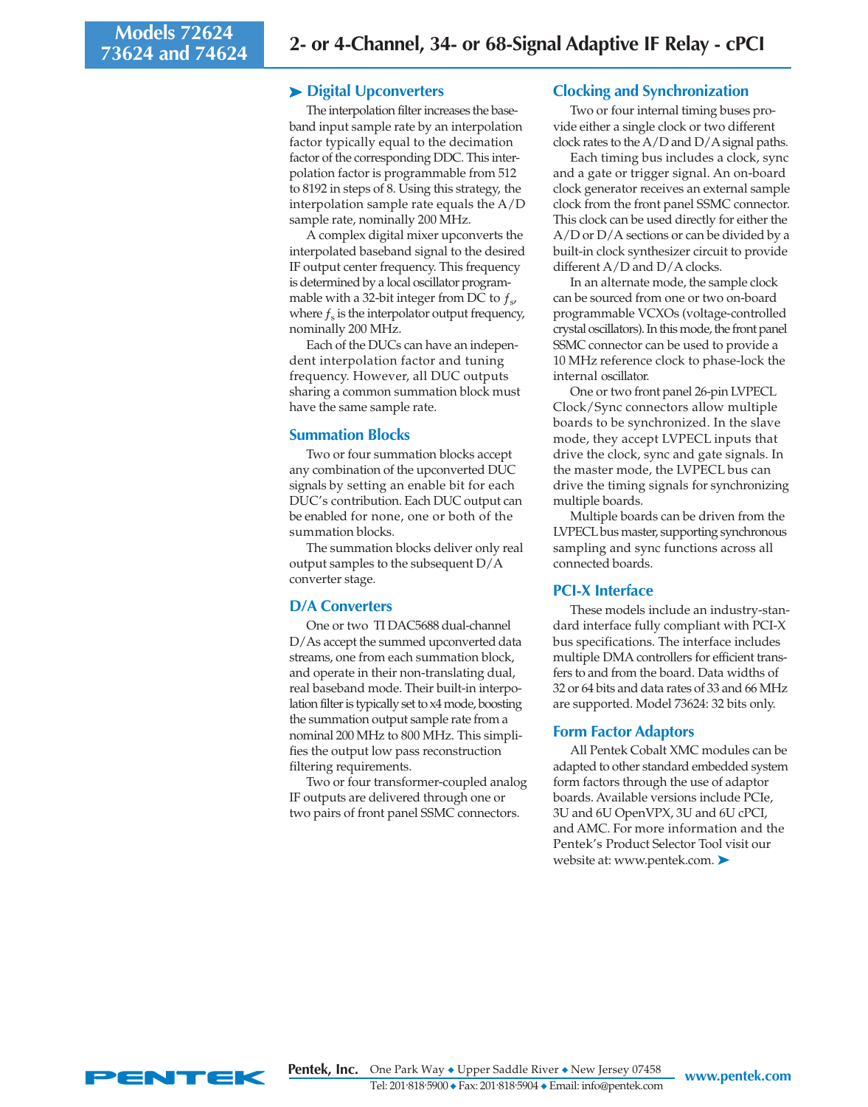# ➤ **Digital Upconverters**

The interpolation filter increases the baseband input sample rate by an interpolation factor typically equal to the decimation factor of the corresponding DDC. This interpolation factor is programmable from 512 to 8192 in steps of 8. Using this strategy, the interpolation sample rate equals the A/D sample rate, nominally 200 MHz.

A complex digital mixer upconverts the interpolated baseband signal to the desired IF output center frequency. This frequency is determined by a local oscillator programmable with a 32-bit integer from DC to  $f_s$ , where  $f_s$  is the interpolator output frequency, nominally 200 MHz.

Each of the DUCs can have an independent interpolation factor and tuning frequency. However, all DUC outputs sharing a common summation block must have the same sample rate.

## **Summation Blocks**

Two or four summation blocks accept any combination of the upconverted DUC signals by setting an enable bit for each DUC's contribution. Each DUC output can be enabled for none, one or both of the summation blocks.

The summation blocks deliver only real output samples to the subsequent D/A converter stage.

## **D/A Converters**

One or two TI DAC5688 dual-channel D/As accept the summed upconverted data streams, one from each summation block, and operate in their non-translating dual, real baseband mode. Their built-in interpolation filter is typically set to x4 mode, boosting the summation output sample rate from a nominal 200 MHz to 800 MHz. This simplifies the output low pass reconstruction filtering requirements.

Two or four transformer-coupled analog IF outputs are delivered through one or two pairs of front panel SSMC connectors.

# **Clocking and Synchronization**

Two or four internal timing buses provide either a single clock or two different clock rates to the A/D and D/A signal paths.

Each timing bus includes a clock, sync and a gate or trigger signal. An on-board clock generator receives an external sample clock from the front panel SSMC connector. This clock can be used directly for either the A/D or D/A sections or can be divided by a built-in clock synthesizer circuit to provide different A/D and D/A clocks.

In an alternate mode, the sample clock can be sourced from one or two on-board programmable VCXOs (voltage-controlled crystal oscillators). In this mode, the front panel SSMC connector can be used to provide a 10 MHz reference clock to phase-lock the internal oscillator.

One or two front panel 26-pin LVPECL Clock/Sync connectors allow multiple boards to be synchronized. In the slave mode, they accept LVPECL inputs that drive the clock, sync and gate signals. In the master mode, the LVPECL bus can drive the timing signals for synchronizing multiple boards.

Multiple boards can be driven from the LVPECL bus master, supporting synchronous sampling and sync functions across all connected boards.

## **PCI-X Interface**

These models include an industry-standard interface fully compliant with PCI-X bus specifications. The interface includes multiple DMA controllers for efficient transfers to and from the board. Data widths of 32 or 64 bits and data rates of 33 and 66 MHz are supported. Model 73624: 32 bits only.

#### **Form Factor Adaptors**

All Pentek Cobalt XMC modules can be adapted to other standard embedded system form factors through the use of adaptor boards. Available versions include PCIe, 3U and 6U OpenVPX, 3U and 6U cPCI, and AMC. For more information and the Pentek's Product Selector Tool visit our website at: www.pentek.com. ➤

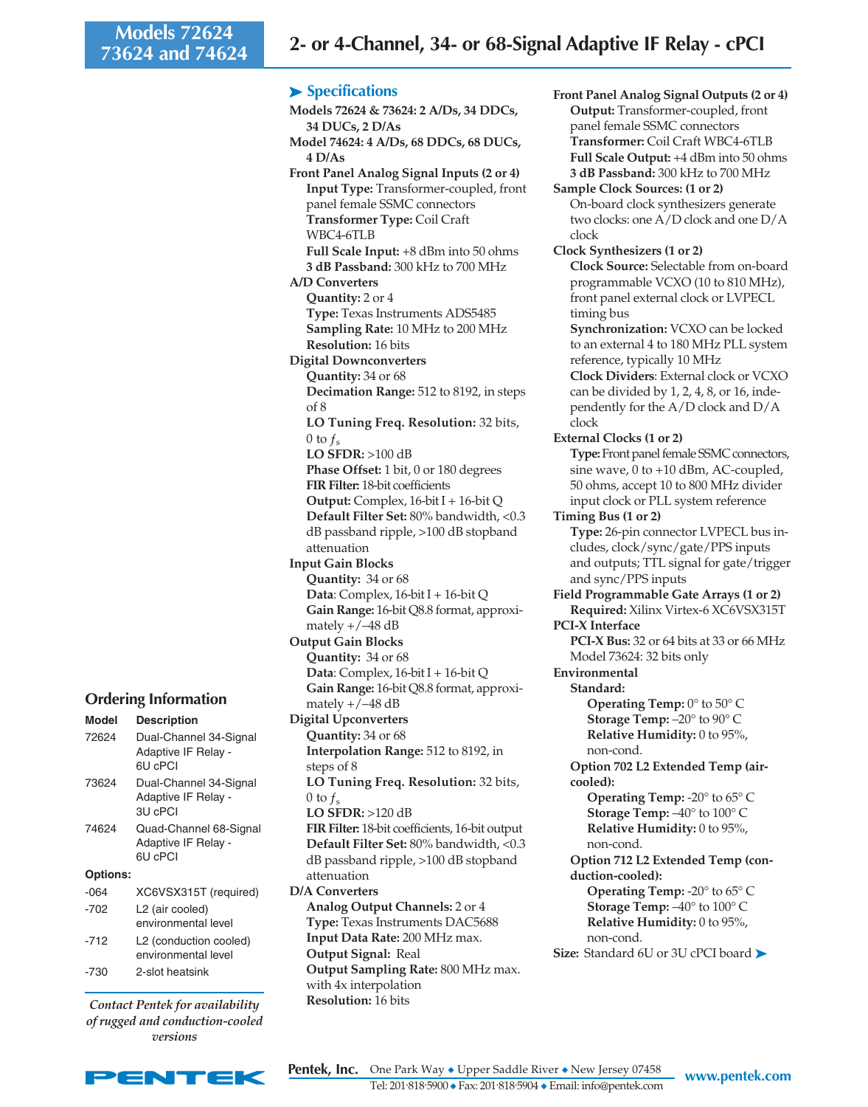# ➤ **Specifications**

**Models 72624 & 73624: 2 A/Ds, 34 DDCs, 34 DUCs, 2 D/As Model 74624: 4 A/Ds, 68 DDCs, 68 DUCs, 4 D/As Front Panel Analog Signal Inputs (2 or 4) Input Type:** Transformer-coupled, front panel female SSMC connectors **Transformer Type:** Coil Craft WBC4-6TLB **Full Scale Input:** +8 dBm into 50 ohms **3 dB Passband:** 300 kHz to 700 MHz **A/D Converters Quantity:** 2 or 4 **Type:** Texas Instruments ADS5485 **Sampling Rate:** 10 MHz to 200 MHz **Resolution:** 16 bits **Digital Downconverters Quantity:** 34 or 68 **Decimation Range:** 512 to 8192, in steps of 8 **LO Tuning Freq. Resolution:** 32 bits, 0 to  $f_{\rm s}$ **LO SFDR:** >100 dB **Phase Offset:** 1 bit, 0 or 180 degrees **FIR Filter:** 18-bit coefficients **Output:** Complex, 16-bit I + 16-bit Q **Default Filter Set:** 80% bandwidth, <0.3 dB passband ripple, >100 dB stopband attenuation **Input Gain Blocks Quantity:** 34 or 68 **Data**: Complex, 16-bit I + 16-bit Q **Gain Range:** 16-bit Q8.8 format, approximately  $+/-48$  dB **Output Gain Blocks Quantity:** 34 or 68 **Data**: Complex, 16-bit I + 16-bit Q **Gain Range:** 16-bit Q8.8 format, approximately  $+/-48$  dB **Digital Upconverters Quantity:** 34 or 68 **Interpolation Range:** 512 to 8192, in steps of 8 **LO Tuning Freq. Resolution:** 32 bits, 0 to  $f_s$ **LO SFDR:** >120 dB **FIR Filter:** 18-bit coefficients, 16-bit output **Default Filter Set:** 80% bandwidth, <0.3 dB passband ripple, >100 dB stopband attenuation **D/A Converters Analog Output Channels:** 2 or 4 **Type:** Texas Instruments DAC5688 **Input Data Rate:** 200 MHz max. **Output Signal:** Real **Output Sampling Rate:** 800 MHz max. with 4x interpolation **Resolution:** 16 bits

**Front Panel Analog Signal Outputs (2 or 4) Output:** Transformer-coupled, front panel female SSMC connectors **Transformer:** Coil Craft WBC4-6TLB **Full Scale Output:** +4 dBm into 50 ohms **3 dB Passband:** 300 kHz to 700 MHz **Sample Clock Sources: (1 or 2)** On-board clock synthesizers generate two clocks: one A/D clock and one D/A clock **Clock Synthesizers (1 or 2) Clock Source:** Selectable from on-board programmable VCXO (10 to 810 MHz), front panel external clock or LVPECL timing bus **Synchronization:** VCXO can be locked to an external 4 to 180 MHz PLL system reference, typically 10 MHz **Clock Dividers**: External clock or VCXO can be divided by 1, 2, 4, 8, or 16, independently for the A/D clock and D/A clock **External Clocks (1 or 2) Type:** Front panel female SSMC connectors, sine wave, 0 to +10 dBm, AC-coupled, 50 ohms, accept 10 to 800 MHz divider input clock or PLL system reference **Timing Bus (1 or 2) Type:** 26-pin connector LVPECL bus includes, clock/sync/gate/PPS inputs and outputs; TTL signal for gate/trigger and sync/PPS inputs **Field Programmable Gate Arrays (1 or 2) Required:** Xilinx Virtex-6 XC6VSX315T **PCI-X Interface PCI-X Bus:** 32 or 64 bits at 33 or 66 MHz Model 73624: 32 bits only **Environmental Standard: Operating Temp:** 0° to 50° C **Storage Temp:** –20° to 90° C **Relative Humidity:** 0 to 95%, non-cond. **Option 702 L2 Extended Temp (aircooled): Operating Temp:** -20° to 65° C **Storage Temp:** –40° to 100° C **Relative Humidity:** 0 to 95%, non-cond. **Option 712 L2 Extended Temp (conduction-cooled): Operating Temp:** -20° to 65° C **Storage Temp:** –40° to 100° C **Relative Humidity:** 0 to 95%, non-cond.

**Size:** Standard 6U or 3U cPCI board ➤

| Model           | <b>Description</b>                                       |
|-----------------|----------------------------------------------------------|
| 72624           | Dual-Channel 34-Signal<br>Adaptive IF Relay -<br>6U cPCI |
| 73624           | Dual-Channel 34-Signal<br>Adaptive IF Relay -<br>3U cPCI |
| 74624           | Quad-Channel 68-Signal<br>Adaptive IF Relay -<br>6U cPCI |
| <b>Options:</b> |                                                          |
| -064            | XC6VSX315T (required)                                    |
| $-702$          | L2 (air cooled)<br>environmental level                   |
| $-712$          | L2 (conduction cooled)<br>environmental level            |
| -730            | 2-slot heatsink                                          |

*Contact Pentek for availability of rugged and conduction-cooled versions*



**Pentek, Inc.** One Park Way ◆ Upper Saddle River ◆ New Jersey 07458 www.pentek.com Tel: 201. 818. 5900 ◆ Fax: 201. 818. 5904 ◆ Email: info@pentek.com